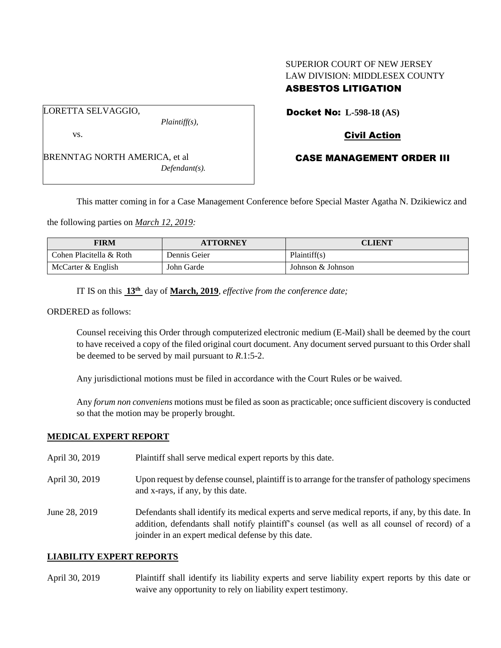# SUPERIOR COURT OF NEW JERSEY LAW DIVISION: MIDDLESEX COUNTY ASBESTOS LITIGATION

LORETTA SELVAGGIO,

*Plaintiff(s),*

vs.

BRENNTAG NORTH AMERICA, et al *Defendant(s).* Docket No: **L-598-18 (AS)** 

# Civil Action

# CASE MANAGEMENT ORDER III

This matter coming in for a Case Management Conference before Special Master Agatha N. Dzikiewicz and

the following parties on *March 12, 2019:*

| <b>FIRM</b>             | <b>ATTORNEY</b> | CLIENT            |
|-------------------------|-----------------|-------------------|
| Cohen Placitella & Roth | Dennis Geier    | Plaintiff(s)      |
| McCarter & English      | John Garde      | Johnson & Johnson |

IT IS on this **13th** day of **March, 2019**, *effective from the conference date;*

ORDERED as follows:

Counsel receiving this Order through computerized electronic medium (E-Mail) shall be deemed by the court to have received a copy of the filed original court document. Any document served pursuant to this Order shall be deemed to be served by mail pursuant to *R*.1:5-2.

Any jurisdictional motions must be filed in accordance with the Court Rules or be waived.

Any *forum non conveniens* motions must be filed as soon as practicable; once sufficient discovery is conducted so that the motion may be properly brought.

### **MEDICAL EXPERT REPORT**

- April 30, 2019 Plaintiff shall serve medical expert reports by this date.
- April 30, 2019 Upon request by defense counsel, plaintiff is to arrange for the transfer of pathology specimens and x-rays, if any, by this date.

June 28, 2019 Defendants shall identify its medical experts and serve medical reports, if any, by this date. In addition, defendants shall notify plaintiff's counsel (as well as all counsel of record) of a joinder in an expert medical defense by this date.

#### **LIABILITY EXPERT REPORTS**

April 30, 2019 Plaintiff shall identify its liability experts and serve liability expert reports by this date or waive any opportunity to rely on liability expert testimony.